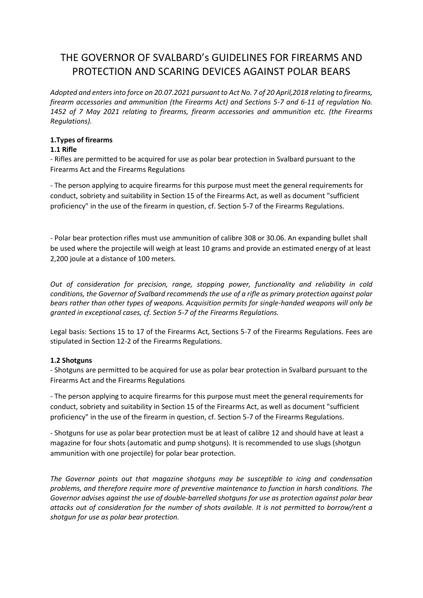# THE GOVERNOR OF SVALBARD's GUIDELINES FOR FIREARMS AND PROTECTION AND SCARING DEVICES AGAINST POLAR BEARS

*Adopted and enters into force on 20.07.2021 pursuant to Act No. 7 of 20 April,2018 relating to firearms, firearm accessories and ammunition (the Firearms Act) and Sections 5-7 and 6-11 of regulation No. 1452 of 7 May 2021 relating to firearms, firearm accessories and ammunition etc. (the Firearms Regulations).* 

## **1.Types of firearms**

## **1.1 Rifle**

- Rifles are permitted to be acquired for use as polar bear protection in Svalbard pursuant to the Firearms Act and the Firearms Regulations

- The person applying to acquire firearms for this purpose must meet the general requirements for conduct, sobriety and suitability in Section 15 of the Firearms Act, as well as document "sufficient proficiency" in the use of the firearm in question, cf. Section 5-7 of the Firearms Regulations.

- Polar bear protection rifles must use ammunition of calibre 308 or 30.06. An expanding bullet shall be used where the projectile will weigh at least 10 grams and provide an estimated energy of at least 2,200 joule at a distance of 100 meters.

*Out of consideration for precision, range, stopping power, functionality and reliability in cold conditions, the Governor of Svalbard recommends the use of a rifle as primary protection against polar bears rather than other types of weapons. Acquisition permits for single-handed weapons will only be granted in exceptional cases, cf. Section 5-7 of the Firearms Regulations.* 

Legal basis: Sections 15 to 17 of the Firearms Act, Sections 5-7 of the Firearms Regulations. Fees are stipulated in Section 12-2 of the Firearms Regulations.

## **1.2 Shotguns**

- Shotguns are permitted to be acquired for use as polar bear protection in Svalbard pursuant to the Firearms Act and the Firearms Regulations

- The person applying to acquire firearms for this purpose must meet the general requirements for conduct, sobriety and suitability in Section 15 of the Firearms Act, as well as document "sufficient proficiency" in the use of the firearm in question, cf. Section 5-7 of the Firearms Regulations.

- Shotguns for use as polar bear protection must be at least of calibre 12 and should have at least a magazine for four shots (automatic and pump shotguns). It is recommended to use slugs (shotgun ammunition with one projectile) for polar bear protection.

*The Governor points out that magazine shotguns may be susceptible to icing and condensation problems, and therefore require more of preventive maintenance to function in harsh conditions. The Governor advises against the use of double-barrelled shotguns for use as protection against polar bear attacks out of consideration for the number of shots available. It is not permitted to borrow/rent a shotgun for use as polar bear protection.*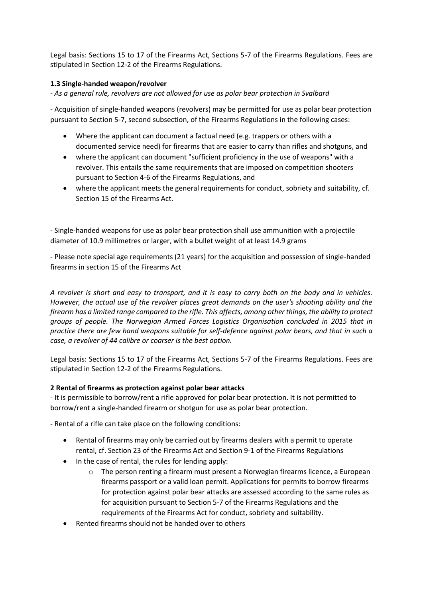Legal basis: Sections 15 to 17 of the Firearms Act, Sections 5-7 of the Firearms Regulations. Fees are stipulated in Section 12-2 of the Firearms Regulations.

## **1.3 Single-handed weapon/revolver**

*- As a general rule, revolvers are not allowed for use as polar bear protection in Svalbard* 

- Acquisition of single-handed weapons (revolvers) may be permitted for use as polar bear protection pursuant to Section 5-7, second subsection, of the Firearms Regulations in the following cases:

- Where the applicant can document a factual need (e.g. trappers or others with a documented service need) for firearms that are easier to carry than rifles and shotguns, and
- where the applicant can document "sufficient proficiency in the use of weapons" with a revolver. This entails the same requirements that are imposed on competition shooters pursuant to Section 4-6 of the Firearms Regulations, and
- where the applicant meets the general requirements for conduct, sobriety and suitability, cf. Section 15 of the Firearms Act.

- Single-handed weapons for use as polar bear protection shall use ammunition with a projectile diameter of 10.9 millimetres or larger, with a bullet weight of at least 14.9 grams

- Please note special age requirements (21 years) for the acquisition and possession of single-handed firearms in section 15 of the Firearms Act

*A revolver is short and easy to transport, and it is easy to carry both on the body and in vehicles. However, the actual use of the revolver places great demands on the user's shooting ability and the firearm has a limited range compared to the rifle. This affects, among other things, the ability to protect groups of people. The Norwegian Armed Forces Logistics Organisation concluded in 2015 that in practice there are few hand weapons suitable for self-defence against polar bears, and that in such a case, a revolver of 44 calibre or coarser is the best option.* 

Legal basis: Sections 15 to 17 of the Firearms Act, Sections 5-7 of the Firearms Regulations. Fees are stipulated in Section 12-2 of the Firearms Regulations.

## **2 Rental of firearms as protection against polar bear attacks**

- It is permissible to borrow/rent a rifle approved for polar bear protection. It is not permitted to borrow/rent a single-handed firearm or shotgun for use as polar bear protection.

- Rental of a rifle can take place on the following conditions:

- Rental of firearms may only be carried out by firearms dealers with a permit to operate rental, cf. Section 23 of the Firearms Act and Section 9-1 of the Firearms Regulations
- In the case of rental, the rules for lending apply:
	- o The person renting a firearm must present a Norwegian firearms licence, a European firearms passport or a valid loan permit. Applications for permits to borrow firearms for protection against polar bear attacks are assessed according to the same rules as for acquisition pursuant to Section 5-7 of the Firearms Regulations and the requirements of the Firearms Act for conduct, sobriety and suitability.
- Rented firearms should not be handed over to others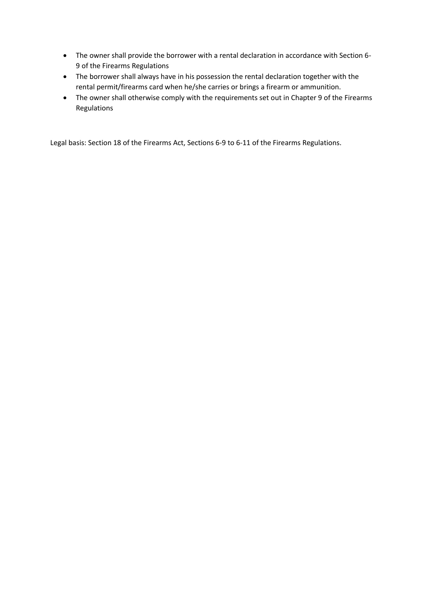- The owner shall provide the borrower with a rental declaration in accordance with Section 6- 9 of the Firearms Regulations
- The borrower shall always have in his possession the rental declaration together with the rental permit/firearms card when he/she carries or brings a firearm or ammunition.
- The owner shall otherwise comply with the requirements set out in Chapter 9 of the Firearms Regulations

Legal basis: Section 18 of the Firearms Act, Sections 6-9 to 6-11 of the Firearms Regulations.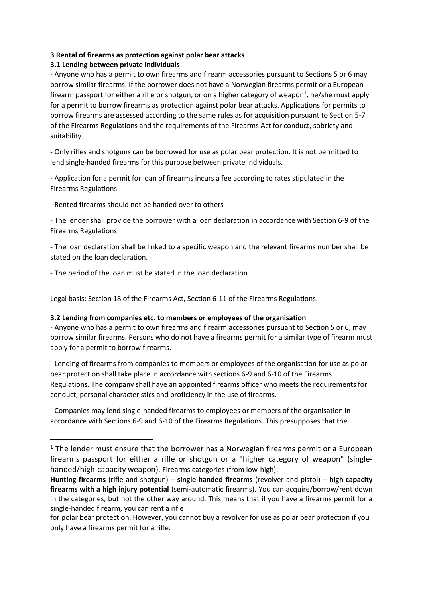## **3 Rental of firearms as protection against polar bear attacks**

## **3.1 Lending between private individuals**

- Anyone who has a permit to own firearms and firearm accessories pursuant to Sections 5 or 6 may borrow similar firearms. If the borrower does not have a Norwegian firearms permit or a European firearm passport for either a rifle or shotgun, or on a higher category of weapon<sup>1</sup>, he/she must apply for a permit to borrow firearms as protection against polar bear attacks. Applications for permits to borrow firearms are assessed according to the same rules as for acquisition pursuant to Section 5-7 of the Firearms Regulations and the requirements of the Firearms Act for conduct, sobriety and suitability.

- Only rifles and shotguns can be borrowed for use as polar bear protection. It is not permitted to lend single-handed firearms for this purpose between private individuals.

- Application for a permit for loan of firearms incurs a fee according to rates stipulated in the Firearms Regulations

- Rented firearms should not be handed over to others

- The lender shall provide the borrower with a loan declaration in accordance with Section 6-9 of the Firearms Regulations

- The loan declaration shall be linked to a specific weapon and the relevant firearms number shall be stated on the loan declaration.

- The period of the loan must be stated in the loan declaration

Legal basis: Section 18 of the Firearms Act, Section 6-11 of the Firearms Regulations.

#### **3.2 Lending from companies etc. to members or employees of the organisation**

- Anyone who has a permit to own firearms and firearm accessories pursuant to Section 5 or 6, may borrow similar firearms. Persons who do not have a firearms permit for a similar type of firearm must apply for a permit to borrow firearms.

- Lending of firearms from companies to members or employees of the organisation for use as polar bear protection shall take place in accordance with sections 6-9 and 6-10 of the Firearms Regulations. The company shall have an appointed firearms officer who meets the requirements for conduct, personal characteristics and proficiency in the use of firearms.

- Companies may lend single-handed firearms to employees or members of the organisation in accordance with Sections 6-9 and 6-10 of the Firearms Regulations. This presupposes that the

 $1$  The lender must ensure that the borrower has a Norwegian firearms permit or a European firearms passport for either a rifle or shotgun or a "higher category of weapon" (singlehanded/high-capacity weapon). Firearms categories (from low-high):

**Hunting firearms** (rifle and shotgun) – **single-handed firearms** (revolver and pistol) – **high capacity firearms with a high injury potential** (semi-automatic firearms). You can acquire/borrow/rent down in the categories, but not the other way around. This means that if you have a firearms permit for a single-handed firearm, you can rent a rifle

for polar bear protection. However, you cannot buy a revolver for use as polar bear protection if you only have a firearms permit for a rifle.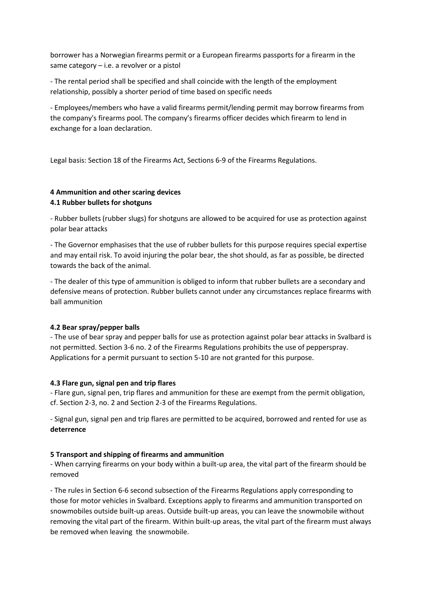borrower has a Norwegian firearms permit or a European firearms passports for a firearm in the same category – i.e. a revolver or a pistol

- The rental period shall be specified and shall coincide with the length of the employment relationship, possibly a shorter period of time based on specific needs

- Employees/members who have a valid firearms permit/lending permit may borrow firearms from the company's firearms pool. The company's firearms officer decides which firearm to lend in exchange for a loan declaration.

Legal basis: Section 18 of the Firearms Act, Sections 6-9 of the Firearms Regulations.

## **4 Ammunition and other scaring devices 4.1 Rubber bullets for shotguns**

- Rubber bullets (rubber slugs) for shotguns are allowed to be acquired for use as protection against polar bear attacks

- The Governor emphasises that the use of rubber bullets for this purpose requires special expertise and may entail risk. To avoid injuring the polar bear, the shot should, as far as possible, be directed towards the back of the animal.

- The dealer of this type of ammunition is obliged to inform that rubber bullets are a secondary and defensive means of protection. Rubber bullets cannot under any circumstances replace firearms with ball ammunition

## **4.2 Bear spray/pepper balls**

- The use of bear spray and pepper balls for use as protection against polar bear attacks in Svalbard is not permitted. Section 3-6 no. 2 of the Firearms Regulations prohibits the use of pepperspray. Applications for a permit pursuant to section 5-10 are not granted for this purpose.

#### **4.3 Flare gun, signal pen and trip flares**

- Flare gun, signal pen, trip flares and ammunition for these are exempt from the permit obligation, cf. Section 2-3, no. 2 and Section 2-3 of the Firearms Regulations.

- Signal gun, signal pen and trip flares are permitted to be acquired, borrowed and rented for use as **deterrence** 

## **5 Transport and shipping of firearms and ammunition**

- When carrying firearms on your body within a built-up area, the vital part of the firearm should be removed

- The rules in Section 6-6 second subsection of the Firearms Regulations apply corresponding to those for motor vehicles in Svalbard. Exceptions apply to firearms and ammunition transported on snowmobiles outside built-up areas. Outside built-up areas, you can leave the snowmobile without removing the vital part of the firearm. Within built-up areas, the vital part of the firearm must always be removed when leaving the snowmobile.